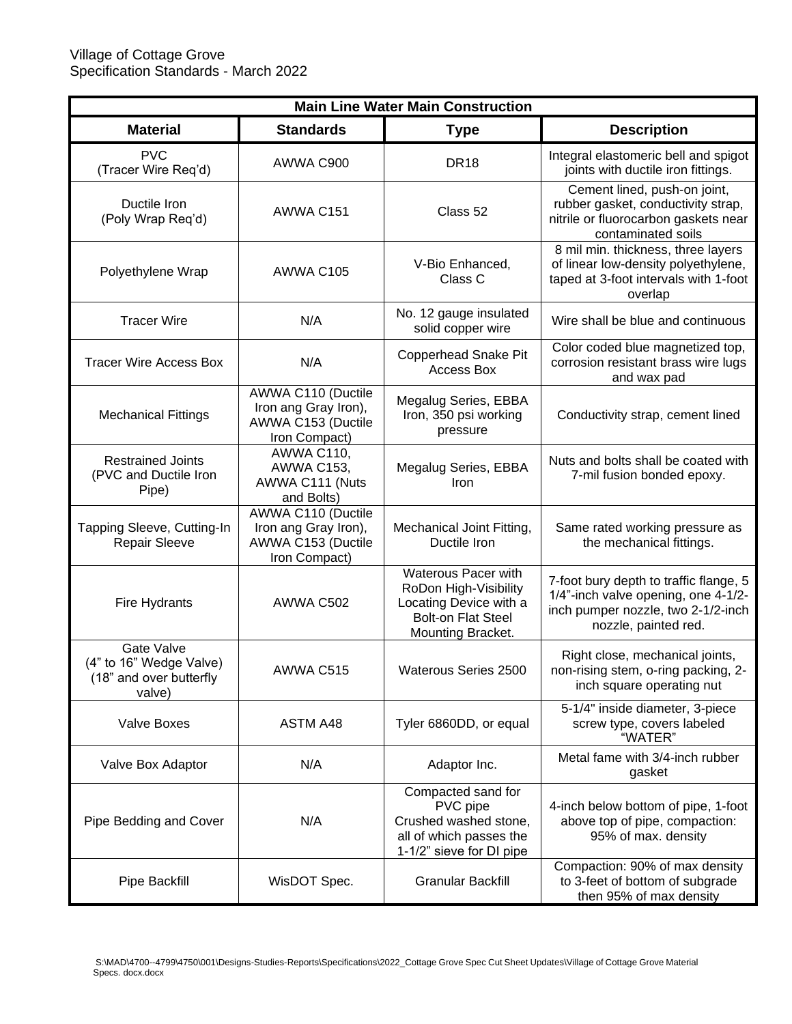| <b>Main Line Water Main Construction</b>                                   |                                                                                   |                                                                                                                          |                                                                                                                                             |  |  |  |
|----------------------------------------------------------------------------|-----------------------------------------------------------------------------------|--------------------------------------------------------------------------------------------------------------------------|---------------------------------------------------------------------------------------------------------------------------------------------|--|--|--|
| <b>Material</b>                                                            | <b>Standards</b>                                                                  | <b>Type</b>                                                                                                              | <b>Description</b>                                                                                                                          |  |  |  |
| <b>PVC</b><br>(Tracer Wire Req'd)                                          | AWWA C900                                                                         | <b>DR18</b>                                                                                                              | Integral elastomeric bell and spigot<br>joints with ductile iron fittings.                                                                  |  |  |  |
| Ductile Iron<br>(Poly Wrap Req'd)                                          | AWWA C151                                                                         | Class 52                                                                                                                 | Cement lined, push-on joint,<br>rubber gasket, conductivity strap,<br>nitrile or fluorocarbon gaskets near<br>contaminated soils            |  |  |  |
| Polyethylene Wrap                                                          | AWWA C105                                                                         | V-Bio Enhanced,<br>Class C                                                                                               | 8 mil min. thickness, three layers<br>of linear low-density polyethylene,<br>taped at 3-foot intervals with 1-foot<br>overlap               |  |  |  |
| <b>Tracer Wire</b>                                                         | N/A                                                                               | No. 12 gauge insulated<br>solid copper wire                                                                              | Wire shall be blue and continuous                                                                                                           |  |  |  |
| <b>Tracer Wire Access Box</b>                                              | N/A                                                                               | <b>Copperhead Snake Pit</b><br>Access Box                                                                                | Color coded blue magnetized top,<br>corrosion resistant brass wire lugs<br>and wax pad                                                      |  |  |  |
| <b>Mechanical Fittings</b>                                                 | AWWA C110 (Ductile<br>Iron ang Gray Iron),<br>AWWA C153 (Ductile<br>Iron Compact) | Megalug Series, EBBA<br>Iron, 350 psi working<br>pressure                                                                | Conductivity strap, cement lined                                                                                                            |  |  |  |
| <b>Restrained Joints</b><br>(PVC and Ductile Iron<br>Pipe)                 | <b>AWWA C110,</b><br>AWWA C153,<br>AWWA C111 (Nuts<br>and Bolts)                  | Megalug Series, EBBA<br>Iron                                                                                             | Nuts and bolts shall be coated with<br>7-mil fusion bonded epoxy.                                                                           |  |  |  |
| Tapping Sleeve, Cutting-In<br><b>Repair Sleeve</b>                         | AWWA C110 (Ductile<br>Iron ang Gray Iron),<br>AWWA C153 (Ductile<br>Iron Compact) | Mechanical Joint Fitting,<br>Ductile Iron                                                                                | Same rated working pressure as<br>the mechanical fittings.                                                                                  |  |  |  |
| Fire Hydrants                                                              | AWWA C502                                                                         | Waterous Pacer with<br>RoDon High-Visibility<br>Locating Device with a<br><b>Bolt-on Flat Steel</b><br>Mounting Bracket. | 7-foot bury depth to traffic flange, 5<br>1/4"-inch valve opening, one 4-1/2-<br>inch pumper nozzle, two 2-1/2-inch<br>nozzle, painted red. |  |  |  |
| Gate Valve<br>(4" to 16" Wedge Valve)<br>(18" and over butterfly<br>valve) | AWWA C515                                                                         | <b>Waterous Series 2500</b>                                                                                              | Right close, mechanical joints,<br>non-rising stem, o-ring packing, 2-<br>inch square operating nut                                         |  |  |  |
| Valve Boxes                                                                | ASTM A48                                                                          | Tyler 6860DD, or equal                                                                                                   | 5-1/4" inside diameter, 3-piece<br>screw type, covers labeled<br>"WATER"                                                                    |  |  |  |
| Valve Box Adaptor                                                          | N/A                                                                               | Adaptor Inc.                                                                                                             | Metal fame with 3/4-inch rubber<br>gasket                                                                                                   |  |  |  |
| Pipe Bedding and Cover                                                     | N/A                                                                               | Compacted sand for<br>PVC pipe<br>Crushed washed stone,<br>all of which passes the<br>1-1/2" sieve for DI pipe           | 4-inch below bottom of pipe, 1-foot<br>above top of pipe, compaction:<br>95% of max. density                                                |  |  |  |
| Pipe Backfill                                                              | WisDOT Spec.                                                                      | <b>Granular Backfill</b>                                                                                                 | Compaction: 90% of max density<br>to 3-feet of bottom of subgrade<br>then 95% of max density                                                |  |  |  |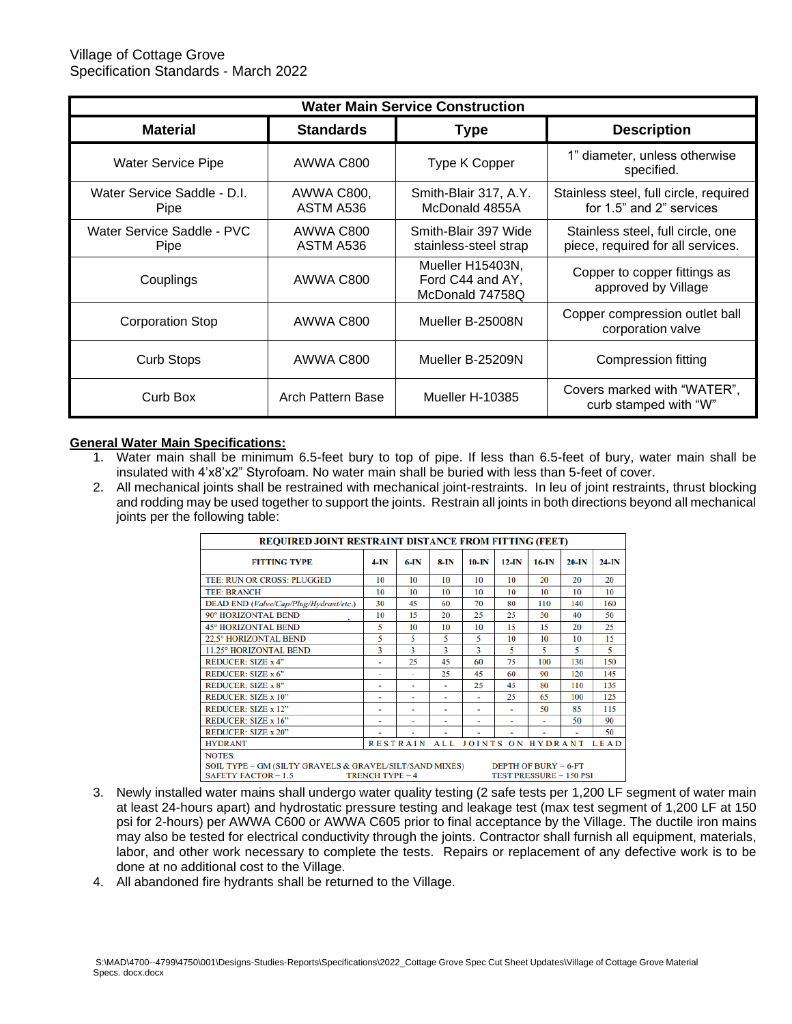| <b>Water Main Service Construction</b> |                         |                                                         |                                                                        |  |  |  |
|----------------------------------------|-------------------------|---------------------------------------------------------|------------------------------------------------------------------------|--|--|--|
| <b>Material</b>                        | <b>Standards</b>        | <b>Type</b>                                             | <b>Description</b>                                                     |  |  |  |
| <b>Water Service Pipe</b>              | AWWA C800               | Type K Copper                                           | 1" diameter, unless otherwise<br>specified.                            |  |  |  |
| Water Service Saddle - D.I.<br>Pipe    | AWWA C800,<br>ASTM A536 | Smith-Blair 317, A.Y.<br>McDonald 4855A                 | Stainless steel, full circle, required<br>for 1.5" and 2" services     |  |  |  |
| Water Service Saddle - PVC<br>Pipe     | AWWA C800<br>ASTM A536  | Smith-Blair 397 Wide<br>stainless-steel strap           | Stainless steel, full circle, one<br>piece, required for all services. |  |  |  |
| Couplings                              | AWWA C800               | Mueller H15403N,<br>Ford C44 and AY,<br>McDonald 74758Q | Copper to copper fittings as<br>approved by Village                    |  |  |  |
| <b>Corporation Stop</b>                | AWWA C800               | Mueller B-25008N                                        | Copper compression outlet ball<br>corporation valve                    |  |  |  |
| <b>Curb Stops</b>                      | AWWA C800               | Mueller B-25209N                                        | Compression fitting                                                    |  |  |  |
| Curb Box                               | Arch Pattern Base       | Mueller H-10385                                         | Covers marked with "WATER",<br>curb stamped with "W"                   |  |  |  |

#### **General Water Main Specifications:**

- 1. Water main shall be minimum 6.5-feet bury to top of pipe. If less than 6.5-feet of bury, water main shall be insulated with 4'x8'x2" Styrofoam. No water main shall be buried with less than 5-feet of cover.
- 2. All mechanical joints shall be restrained with mechanical joint-restraints. In leu of joint restraints, thrust blocking and rodding may be used together to support the joints. Restrain all joints in both directions beyond all mechanical joints per the following table:

| <b>REQUIRED JOINT RESTRAINT DISTANCE FROM FITTING (FEET)</b>                                                                                                                             |                |                 |                |                   |                          |                |         |             |
|------------------------------------------------------------------------------------------------------------------------------------------------------------------------------------------|----------------|-----------------|----------------|-------------------|--------------------------|----------------|---------|-------------|
| <b>FITTING TYPE</b>                                                                                                                                                                      | $4-IN$         | $6-IN$          | 8-IN           | 10-IN             | $12$ -IN                 | 16-IN          | $20-IN$ | $24-IN$     |
| <b>TEE: RUN OR CROSS: PLUGGED</b>                                                                                                                                                        | 10             | 10              | 10             | 10                | 10                       | 20             | 20      | 20          |
| <b>TEE: BRANCH</b>                                                                                                                                                                       | 10             | 10              | 10             | 10                | 10                       | 10             | 10      | 10          |
| DEAD END (Valve/Cap/Plug/Hydrant/etc.)                                                                                                                                                   | 30             | 45              | 60             | 70                | 80                       | 110            | 140     | 160         |
| 90° HORIZONTAL BEND                                                                                                                                                                      | 10             | 15              | 20             | 25                | 25                       | 30             | 40      | 50          |
| <b>45° HORIZONTAL BEND</b>                                                                                                                                                               | 5              | 10              | 10             | 10                | 15                       | 15             | 20      | 25          |
| 22.5° HORIZONTAL BEND                                                                                                                                                                    | 5              | 5               | 5              | 5                 | 10                       | 10             | 10      | 15          |
| 11.25° HORIZONTAL BEND                                                                                                                                                                   | 3              | 3               | 3              | ٦                 | 5                        | 5              | 5       | 5           |
| <b>REDUCER: SIZE x 4"</b>                                                                                                                                                                | ٠              | 25              | 45             | 60                | 75                       | 100            | 130     | 150         |
| REDUCER: SIZE x 6"                                                                                                                                                                       | ٠              | ٠               | 25             | 45                | 60                       | 90             | 120     | 145         |
| <b>REDUCER: SIZE x 8"</b>                                                                                                                                                                | ٠              | ٠               | ٠              | 25                | 45                       | 80             | 110     | 135         |
| <b>REDUCER: SIZE x 10"</b>                                                                                                                                                               | ٠              | ٠               | ٠              | ٠                 | 25                       | 65             | 100     | 125         |
| <b>REDUCER: SIZE x 12"</b>                                                                                                                                                               | ۰              | ٠               | ۰              | ۰                 | $\overline{\phantom{a}}$ | 50             | 85      | 115         |
| <b>REDUCER: SIZE x 16"</b>                                                                                                                                                               | $\blacksquare$ | $\blacksquare$  | $\blacksquare$ | $\blacksquare$    | $\blacksquare$           | $\blacksquare$ | 50      | 90          |
| <b>REDUCER: SIZE x 20"</b>                                                                                                                                                               | ٠              | ٠               | ۰              | ٠                 | ٠                        | ٠              | ٠       | 50          |
| <b>HYDRANT</b>                                                                                                                                                                           |                | <b>RESTRAIN</b> | <b>ALL</b>     | JOINTS ON HYDRANT |                          |                |         | <b>LEAD</b> |
| <b>NOTES:</b><br>SOIL TYPE = GM (SILTY GRAVELS & GRAVEL/SILT/SAND MIXES)<br>DEPTH OF BURY $= 6$ -FT<br>SAFETY FACTOR $= 1.5$<br><b>TRENCH TYPE = 4</b><br><b>TEST PRESSURE = 150 PSI</b> |                |                 |                |                   |                          |                |         |             |

- 3. Newly installed water mains shall undergo water quality testing (2 safe tests per 1,200 LF segment of water main at least 24-hours apart) and hydrostatic pressure testing and leakage test (max test segment of 1,200 LF at 150 psi for 2-hours) per AWWA C600 or AWWA C605 prior to final acceptance by the Village. The ductile iron mains may also be tested for electrical conductivity through the joints. Contractor shall furnish all equipment, materials, labor, and other work necessary to complete the tests. Repairs or replacement of any defective work is to be done at no additional cost to the Village.
- 4. All abandoned fire hydrants shall be returned to the Village.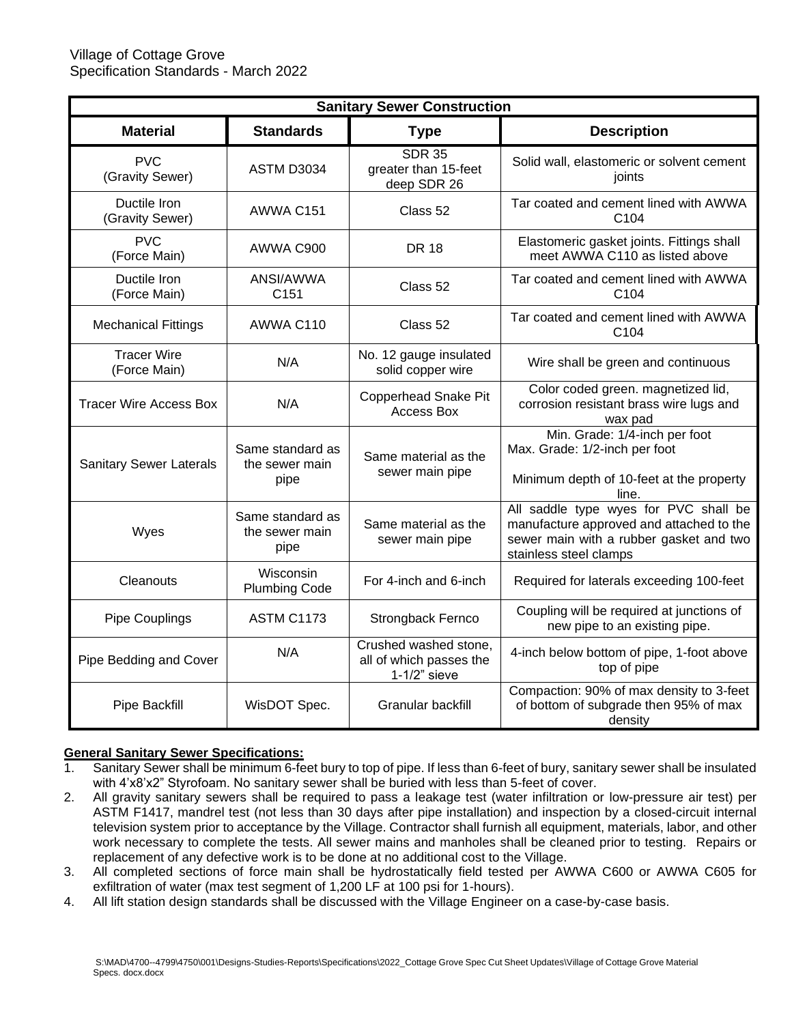| <b>Sanitary Sewer Construction</b> |                                            |                                                                     |                                                                                                                                                        |  |  |  |
|------------------------------------|--------------------------------------------|---------------------------------------------------------------------|--------------------------------------------------------------------------------------------------------------------------------------------------------|--|--|--|
| <b>Material</b>                    | <b>Standards</b>                           | <b>Type</b>                                                         | <b>Description</b>                                                                                                                                     |  |  |  |
| <b>PVC</b><br>(Gravity Sewer)      | <b>ASTM D3034</b>                          | <b>SDR 35</b><br>greater than 15-feet<br>deep SDR 26                | Solid wall, elastomeric or solvent cement<br>joints                                                                                                    |  |  |  |
| Ductile Iron<br>(Gravity Sewer)    | AWWA C151                                  | Class 52                                                            | Tar coated and cement lined with AWWA<br>C104                                                                                                          |  |  |  |
| <b>PVC</b><br>(Force Main)         | AWWA C900                                  | <b>DR 18</b>                                                        | Elastomeric gasket joints. Fittings shall<br>meet AWWA C110 as listed above                                                                            |  |  |  |
| Ductile Iron<br>(Force Main)       | ANSI/AWWA<br>C151                          | Class 52                                                            | Tar coated and cement lined with AWWA<br>C <sub>104</sub>                                                                                              |  |  |  |
| <b>Mechanical Fittings</b>         | AWWA C110                                  | Class 52                                                            | Tar coated and cement lined with AWWA<br>C104                                                                                                          |  |  |  |
| <b>Tracer Wire</b><br>(Force Main) | N/A                                        | No. 12 gauge insulated<br>solid copper wire                         | Wire shall be green and continuous                                                                                                                     |  |  |  |
| <b>Tracer Wire Access Box</b>      | N/A                                        | <b>Copperhead Snake Pit</b><br><b>Access Box</b>                    | Color coded green. magnetized lid,<br>corrosion resistant brass wire lugs and<br>wax pad                                                               |  |  |  |
| <b>Sanitary Sewer Laterals</b>     | Same standard as<br>the sewer main<br>pipe | Same material as the<br>sewer main pipe                             | Min. Grade: 1/4-inch per foot<br>Max. Grade: 1/2-inch per foot<br>Minimum depth of 10-feet at the property<br>line.                                    |  |  |  |
| Wyes                               | Same standard as<br>the sewer main<br>pipe | Same material as the<br>sewer main pipe                             | All saddle type wyes for PVC shall be<br>manufacture approved and attached to the<br>sewer main with a rubber gasket and two<br>stainless steel clamps |  |  |  |
| Cleanouts                          | Wisconsin<br><b>Plumbing Code</b>          | For 4-inch and 6-inch                                               | Required for laterals exceeding 100-feet                                                                                                               |  |  |  |
| <b>Pipe Couplings</b>              | <b>ASTM C1173</b>                          | Strongback Fernco                                                   | Coupling will be required at junctions of<br>new pipe to an existing pipe.                                                                             |  |  |  |
| Pipe Bedding and Cover             | N/A                                        | Crushed washed stone,<br>all of which passes the<br>$1-1/2$ " sieve | 4-inch below bottom of pipe, 1-foot above<br>top of pipe                                                                                               |  |  |  |
| Pipe Backfill                      | WisDOT Spec.                               | Granular backfill                                                   | Compaction: 90% of max density to 3-feet<br>of bottom of subgrade then 95% of max<br>density                                                           |  |  |  |

## **General Sanitary Sewer Specifications:**

- 1. Sanitary Sewer shall be minimum 6-feet bury to top of pipe. If less than 6-feet of bury, sanitary sewer shall be insulated with 4'x8'x2" Styrofoam. No sanitary sewer shall be buried with less than 5-feet of cover.
- 2. All gravity sanitary sewers shall be required to pass a leakage test (water infiltration or low-pressure air test) per ASTM F1417, mandrel test (not less than 30 days after pipe installation) and inspection by a closed-circuit internal television system prior to acceptance by the Village. Contractor shall furnish all equipment, materials, labor, and other work necessary to complete the tests. All sewer mains and manholes shall be cleaned prior to testing. Repairs or replacement of any defective work is to be done at no additional cost to the Village.
- 3. All completed sections of force main shall be hydrostatically field tested per AWWA C600 or AWWA C605 for exfiltration of water (max test segment of 1,200 LF at 100 psi for 1-hours).
- 4. All lift station design standards shall be discussed with the Village Engineer on a case-by-case basis.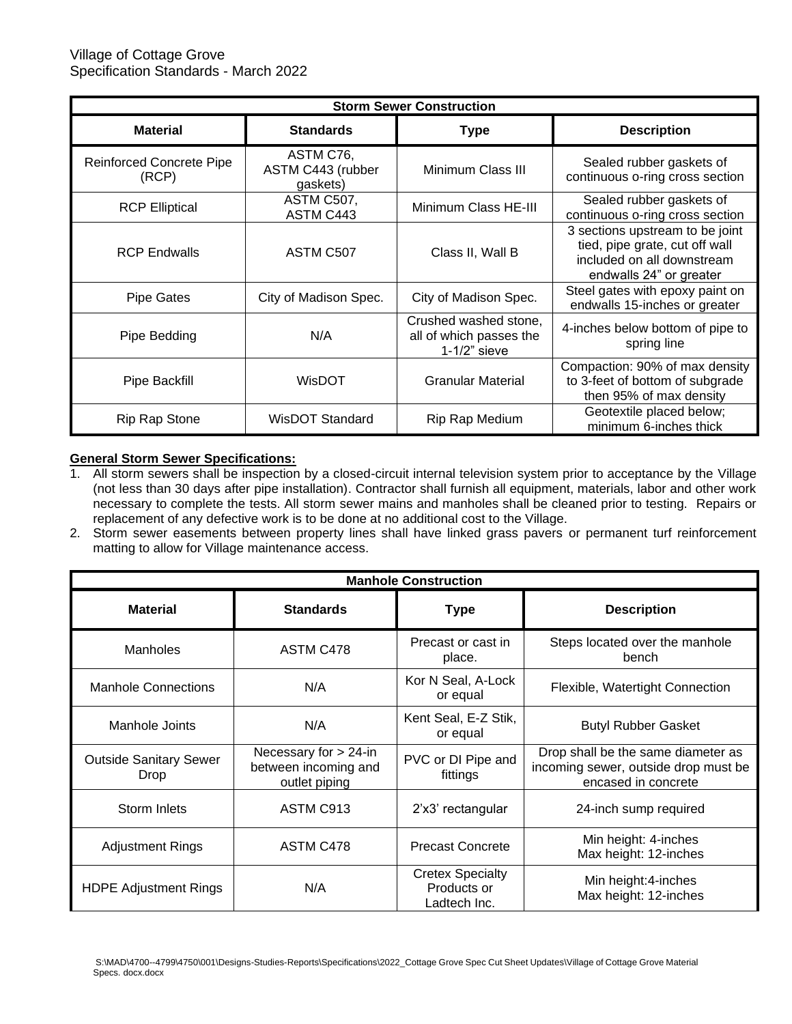| <b>Storm Sewer Construction</b>                    |                                            |                                                                     |                                                                                                                            |  |  |  |
|----------------------------------------------------|--------------------------------------------|---------------------------------------------------------------------|----------------------------------------------------------------------------------------------------------------------------|--|--|--|
| <b>Material</b><br><b>Standards</b><br><b>Type</b> |                                            |                                                                     | <b>Description</b>                                                                                                         |  |  |  |
| <b>Reinforced Concrete Pipe</b><br>(RCP)           | ASTM C76,<br>ASTM C443 (rubber<br>gaskets) | Minimum Class III                                                   | Sealed rubber gaskets of<br>continuous o-ring cross section                                                                |  |  |  |
| <b>RCP Elliptical</b>                              | ASTM C507,<br>ASTM C443                    | Minimum Class HE-III                                                | Sealed rubber gaskets of<br>continuous o-ring cross section                                                                |  |  |  |
| <b>RCP Endwalls</b>                                | ASTM C507                                  | Class II, Wall B                                                    | 3 sections upstream to be joint<br>tied, pipe grate, cut off wall<br>included on all downstream<br>endwalls 24" or greater |  |  |  |
| Pipe Gates                                         | City of Madison Spec.                      | City of Madison Spec.                                               | Steel gates with epoxy paint on<br>endwalls 15-inches or greater                                                           |  |  |  |
| Pipe Bedding                                       | N/A                                        | Crushed washed stone,<br>all of which passes the<br>$1-1/2$ " sieve | 4-inches below bottom of pipe to<br>spring line                                                                            |  |  |  |
| Pipe Backfill                                      | WisDOT                                     | <b>Granular Material</b>                                            | Compaction: 90% of max density<br>to 3-feet of bottom of subgrade<br>then 95% of max density                               |  |  |  |
| <b>Rip Rap Stone</b>                               | <b>WisDOT Standard</b>                     | Rip Rap Medium                                                      | Geotextile placed below;<br>minimum 6-inches thick                                                                         |  |  |  |

## **General Storm Sewer Specifications:**

- 1. All storm sewers shall be inspection by a closed-circuit internal television system prior to acceptance by the Village (not less than 30 days after pipe installation). Contractor shall furnish all equipment, materials, labor and other work necessary to complete the tests. All storm sewer mains and manholes shall be cleaned prior to testing. Repairs or replacement of any defective work is to be done at no additional cost to the Village.
- 2. Storm sewer easements between property lines shall have linked grass pavers or permanent turf reinforcement matting to allow for Village maintenance access.

| <b>Manhole Construction</b>           |                                                                   |                                                        |                                                                                                   |  |  |  |
|---------------------------------------|-------------------------------------------------------------------|--------------------------------------------------------|---------------------------------------------------------------------------------------------------|--|--|--|
| <b>Material</b>                       | <b>Standards</b>                                                  | <b>Type</b>                                            | <b>Description</b>                                                                                |  |  |  |
| Manholes                              | ASTM C478                                                         | Precast or cast in<br>place.                           | Steps located over the manhole<br>bench                                                           |  |  |  |
| <b>Manhole Connections</b>            | N/A                                                               | Kor N Seal, A-Lock<br>or equal                         | Flexible, Watertight Connection                                                                   |  |  |  |
| Manhole Joints                        | N/A                                                               | Kent Seal, E-Z Stik,<br>or equal                       | <b>Butyl Rubber Gasket</b>                                                                        |  |  |  |
| <b>Outside Sanitary Sewer</b><br>Drop | Necessary for $> 24$ -in<br>between incoming and<br>outlet piping | PVC or DI Pipe and<br>fittings                         | Drop shall be the same diameter as<br>incoming sewer, outside drop must be<br>encased in concrete |  |  |  |
| Storm Inlets                          | ASTM C913                                                         | 2'x3' rectangular                                      | 24-inch sump required                                                                             |  |  |  |
| <b>Adjustment Rings</b>               | ASTM C478                                                         | <b>Precast Concrete</b>                                | Min height: 4-inches<br>Max height: 12-inches                                                     |  |  |  |
| <b>HDPE Adjustment Rings</b>          | N/A                                                               | <b>Cretex Specialty</b><br>Products or<br>Ladtech Inc. | Min height:4-inches<br>Max height: 12-inches                                                      |  |  |  |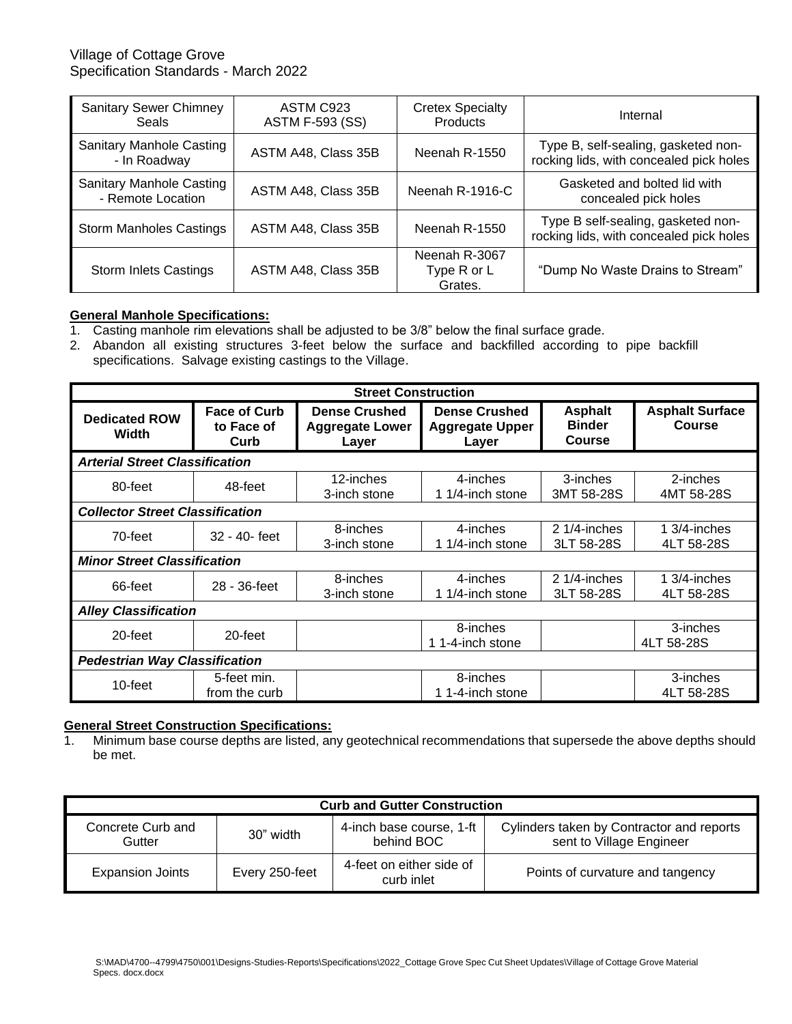## Village of Cottage Grove Specification Standards - March 2022

| <b>Sanitary Sewer Chimney</b><br>Seals               | ASTM C923<br><b>ASTM F-593 (SS)</b> | <b>Cretex Specialty</b><br><b>Products</b> | Internal                                                                       |
|------------------------------------------------------|-------------------------------------|--------------------------------------------|--------------------------------------------------------------------------------|
| <b>Sanitary Manhole Casting</b><br>- In Roadway      | ASTM A48, Class 35B                 | Neenah R-1550                              | Type B, self-sealing, gasketed non-<br>rocking lids, with concealed pick holes |
| <b>Sanitary Manhole Casting</b><br>- Remote Location | ASTM A48, Class 35B                 | Neenah R-1916-C                            | Gasketed and bolted lid with<br>concealed pick holes                           |
| <b>Storm Manholes Castings</b>                       | ASTM A48, Class 35B                 | Neenah R-1550                              | Type B self-sealing, gasketed non-<br>rocking lids, with concealed pick holes  |
| <b>Storm Inlets Castings</b>                         | ASTM A48, Class 35B                 | Neenah R-3067<br>Type R or L<br>Grates.    | "Dump No Waste Drains to Stream"                                               |

## **General Manhole Specifications:**

- 1. Casting manhole rim elevations shall be adjusted to be 3/8" below the final surface grade.
- 2. Abandon all existing structures 3-feet below the surface and backfilled according to pipe backfill specifications. Salvage existing castings to the Village.

| <b>Street Construction</b>             |                                           |                                                         |                                                         |                                                  |                                         |  |
|----------------------------------------|-------------------------------------------|---------------------------------------------------------|---------------------------------------------------------|--------------------------------------------------|-----------------------------------------|--|
| <b>Dedicated ROW</b><br>Width          | <b>Face of Curb</b><br>to Face of<br>Curb | <b>Dense Crushed</b><br><b>Aggregate Lower</b><br>Layer | <b>Dense Crushed</b><br><b>Aggregate Upper</b><br>Layer | <b>Asphalt</b><br><b>Binder</b><br><b>Course</b> | <b>Asphalt Surface</b><br><b>Course</b> |  |
| <b>Arterial Street Classification</b>  |                                           |                                                         |                                                         |                                                  |                                         |  |
| 80-feet                                | 48-feet                                   | 12-inches<br>3-inch stone                               | 4-inches<br>1 1/4-inch stone                            | 3-inches<br>3MT 58-28S                           | 2-inches<br>4MT 58-28S                  |  |
| <b>Collector Street Classification</b> |                                           |                                                         |                                                         |                                                  |                                         |  |
| 70-feet                                | 32 - 40- feet                             | 8-inches<br>3-inch stone                                | 4-inches<br>1 1/4-inch stone                            | $21/4$ -inches<br>3LT 58-28S                     | 1 $3/4$ -inches<br>4LT 58-28S           |  |
| <b>Minor Street Classification</b>     |                                           |                                                         |                                                         |                                                  |                                         |  |
| 66-feet                                | 28 - 36-feet                              | 8-inches<br>3-inch stone                                | 4-inches<br>1 1/4-inch stone                            | $21/4$ -inches<br>3LT 58-28S                     | 1 3/4-inches<br>4LT 58-28S              |  |
|                                        | <b>Alley Classification</b>               |                                                         |                                                         |                                                  |                                         |  |
| 20-feet                                | 20-feet                                   |                                                         | 8-inches<br>1 1-4-inch stone                            |                                                  | 3-inches<br>4LT 58-28S                  |  |
| <b>Pedestrian Way Classification</b>   |                                           |                                                         |                                                         |                                                  |                                         |  |
| 10-feet                                | 5-feet min.<br>from the curb              |                                                         | 8-inches<br>1 1-4-inch stone                            |                                                  | 3-inches<br>4LT 58-28S                  |  |

## **General Street Construction Specifications:**

1. Minimum base course depths are listed, any geotechnical recommendations that supersede the above depths should be met.

| <b>Curb and Gutter Construction</b>                                                                                                                         |                |                                        |                                  |  |  |
|-------------------------------------------------------------------------------------------------------------------------------------------------------------|----------------|----------------------------------------|----------------------------------|--|--|
| Concrete Curb and<br>Cylinders taken by Contractor and reports<br>4-inch base course, 1-ft<br>30" width<br>behind BOC<br>sent to Village Engineer<br>Gutter |                |                                        |                                  |  |  |
| <b>Expansion Joints</b>                                                                                                                                     | Every 250-feet | 4-feet on either side of<br>curb inlet | Points of curvature and tangency |  |  |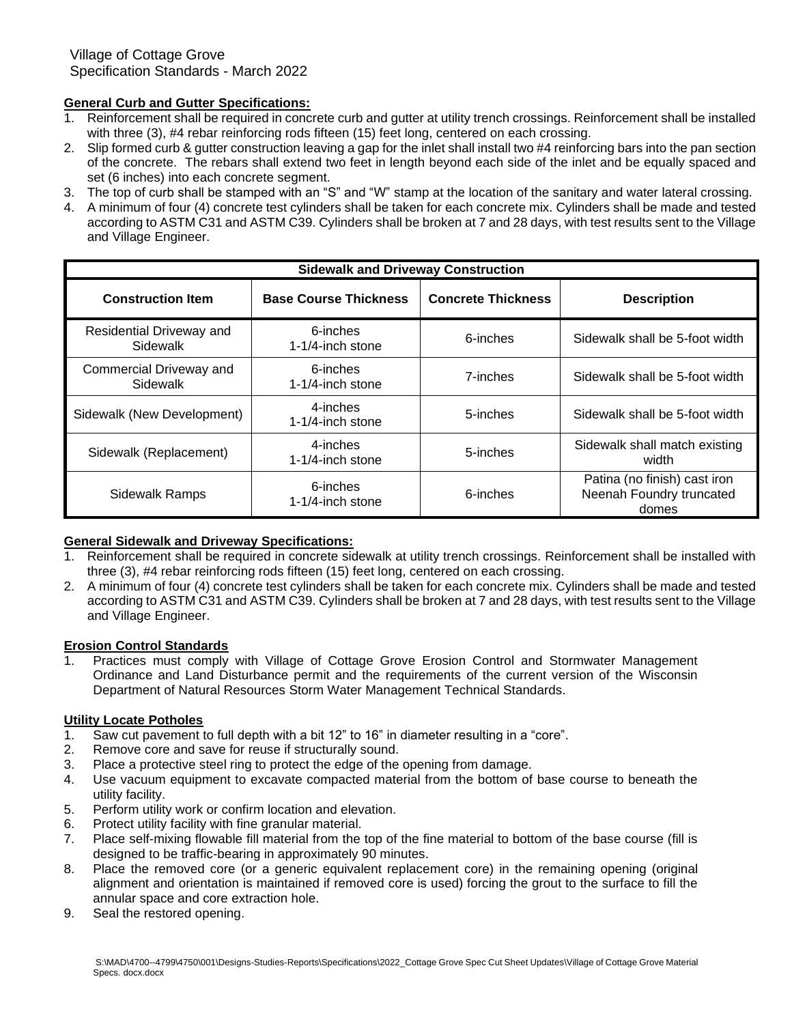# **General Curb and Gutter Specifications:**

- 1. Reinforcement shall be required in concrete curb and gutter at utility trench crossings. Reinforcement shall be installed with three (3), #4 rebar reinforcing rods fifteen (15) feet long, centered on each crossing.
- 2. Slip formed curb & gutter construction leaving a gap for the inlet shall install two #4 reinforcing bars into the pan section of the concrete. The rebars shall extend two feet in length beyond each side of the inlet and be equally spaced and set (6 inches) into each concrete segment.
- 3. The top of curb shall be stamped with an "S" and "W" stamp at the location of the sanitary and water lateral crossing.
- 4. A minimum of four (4) concrete test cylinders shall be taken for each concrete mix. Cylinders shall be made and tested according to ASTM C31 and ASTM C39. Cylinders shall be broken at 7 and 28 days, with test results sent to the Village and Village Engineer.

| <b>Sidewalk and Driveway Construction</b> |                                 |                           |                                                                   |  |  |  |
|-------------------------------------------|---------------------------------|---------------------------|-------------------------------------------------------------------|--|--|--|
| <b>Construction Item</b>                  | <b>Base Course Thickness</b>    | <b>Concrete Thickness</b> | <b>Description</b>                                                |  |  |  |
| Residential Driveway and<br>Sidewalk      | 6-inches<br>$1-1/4$ -inch stone | 6-inches                  | Sidewalk shall be 5-foot width                                    |  |  |  |
| Commercial Driveway and<br>Sidewalk       | 6-inches<br>$1-1/4$ -inch stone | 7-inches                  | Sidewalk shall be 5-foot width                                    |  |  |  |
| Sidewalk (New Development)                | 4-inches<br>1-1/4-inch stone    | 5-inches                  | Sidewalk shall be 5-foot width                                    |  |  |  |
| Sidewalk (Replacement)                    | 4-inches<br>$1-1/4$ -inch stone | 5-inches                  | Sidewalk shall match existing<br>width                            |  |  |  |
| <b>Sidewalk Ramps</b>                     | 6-inches<br>1-1/4-inch stone    | 6-inches                  | Patina (no finish) cast iron<br>Neenah Foundry truncated<br>domes |  |  |  |

## **General Sidewalk and Driveway Specifications:**

- 1. Reinforcement shall be required in concrete sidewalk at utility trench crossings. Reinforcement shall be installed with three (3), #4 rebar reinforcing rods fifteen (15) feet long, centered on each crossing.
- 2. A minimum of four (4) concrete test cylinders shall be taken for each concrete mix. Cylinders shall be made and tested according to ASTM C31 and ASTM C39. Cylinders shall be broken at 7 and 28 days, with test results sent to the Village and Village Engineer.

## **Erosion Control Standards**

1. Practices must comply with Village of Cottage Grove Erosion Control and Stormwater Management Ordinance and Land Disturbance permit and the requirements of the current version of the Wisconsin Department of Natural Resources Storm Water Management Technical Standards.

## **Utility Locate Potholes**

- 1. Saw cut pavement to full depth with a bit 12" to 16" in diameter resulting in a "core".
- 2. Remove core and save for reuse if structurally sound.
- 3. Place a protective steel ring to protect the edge of the opening from damage.
- 4. Use vacuum equipment to excavate compacted material from the bottom of base course to beneath the utility facility.
- 5. Perform utility work or confirm location and elevation.
- 6. Protect utility facility with fine granular material.
- 7. Place self-mixing flowable fill material from the top of the fine material to bottom of the base course (fill is designed to be traffic-bearing in approximately 90 minutes.
- 8. Place the removed core (or a generic equivalent replacement core) in the remaining opening (original alignment and orientation is maintained if removed core is used) forcing the grout to the surface to fill the annular space and core extraction hole.
- 9. Seal the restored opening.